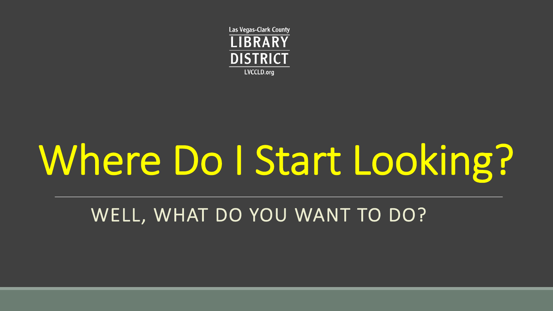**Las Vegas-Clark County LIBRARY DISTRICT** LVCCLD.org

# Where Do I Start Looking?

### WELL, WHAT DO YOU WANT TO DO?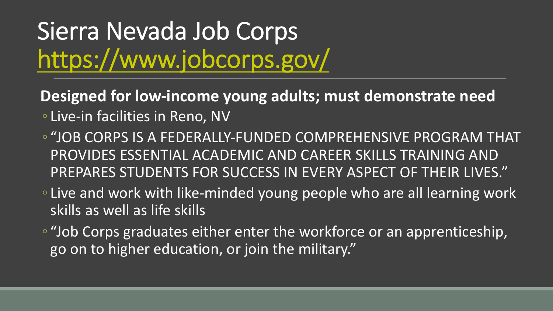## Sierra Nevada Job Corps https://www.jobcorps.gov/

#### **Designed for low-income young adults; must are:**

- Live-in facilities in Reno, NV
- "JOB CORPS IS A FEDERALLY-FUNDED COMPRE PROVIDES ESSENTIAL ACADEMIC AND CAREER PREPARES STUDENTS FOR SUCCESS IN EVERY A
- Live and work with like-minded young people by skills as well as life skills
- "Job Corps graduates either enter the workfor go on to higher education, or join the military.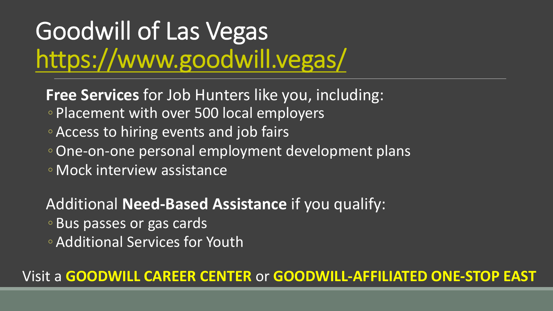## Goodwill of Las Vegas https://www.goodwill.vegas/

**Free Services** for Job Hunters like you, include ◦ Placement with over 500 local employers

- Access to hiring events and job fairs
- One-on-one personal employment development
- Mock interview assistance

Additional Need-Based Assistance if you qu

- Bus passes or gas cards
- Additional Services for Youth

### Visit a **GOODWILL CAREER CENTER** or **GOODWILL-**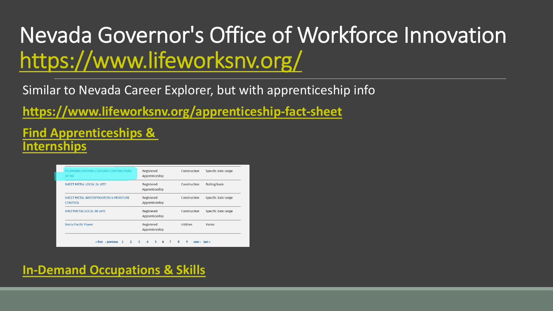## Nevada Governor's Office of Workf https://www.lifeworksnv.org/

Similar to Nevada Career Explorer, but with apprenticeship

**https://www.lifeworksnv.org/apprenticeship-fact-sheet** 

#### **[Find Apprenticeships &](https://www.lifeworksnv.org/demand-occupations) Internships**

| PLUMBING HEATING COOLING CONTRACTORS<br><b>OF NV</b>   | Registered<br>Apprenticeship | Construction | Specific date range |
|--------------------------------------------------------|------------------------------|--------------|---------------------|
| SHEET METAL LOCAL 26 JATC.                             | Registered<br>Apprenticeship | Construction | Rolling basis       |
| SHEET METAL WATERPROOFERS & MOISTURE<br><b>CONTROL</b> | Registered<br>Apprenticeship | Construction | Specific date range |
| SHEETMETAL LOCAL 88 JATC                               | Registered<br>Apprenticeship | Construction | Specific date range |
| Sierra Pacific Power                                   | Registered<br>Apprenticeship | Utilities    | Varies              |

**In-Demand Occupations & Skills**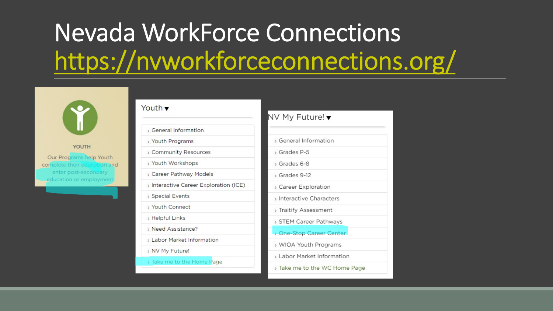## Nevada WorkForce Connect https://nvworkforceconnect



#### YOUTH

Our Programs help Youth complete their education and enter post-secondary education or employment

#### Youth v

- > General Information
- > Youth Programs
- > Community Resources
- > Youth Workshops
- > Career Pathway Models
- > Interactive Career Exploration (ICE)
- > Special Events
- > Youth Connect
- > Helpful Links
- > Need Assistance?
- > Labor Market Information
- > NV My Future!
- > Take me to the Home Page

#### NV My Future! ▼

| > General Information      |
|----------------------------|
| > Grades P-5               |
| > Grades 6-8               |
| > Grades 9-12              |
| > Career Exploration       |
| > Interactive Characters   |
| > Traitify Assessment      |
| > STEM Career Pathways     |
| > One-Stop Career Center   |
| > WIOA Youth Programs      |
| > Labor Market Information |
| > Take me to the WC Home   |
|                            |